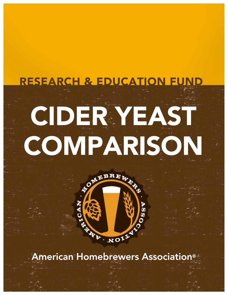# CIDERYEAST COMPARISON RESEARCH & E



American Homebrewers Association®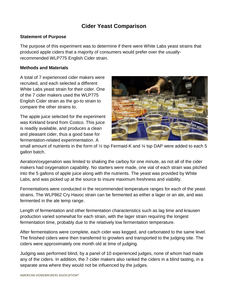# **Cider Yeast Comparison**

# **Statement of Purpose**

The purpose of this experiment was to determine if there were White Labs yeast strains that produced apple ciders that a majority of consumers would prefer over the usuallyrecommended WLP775 English Cider strain.

#### **Methods and Materials**

A total of 7 experienced cider makers were recruited, and each selected a different White Labs yeast strain for their cider. One of the 7 cider makers used the WLP775 English Cider strain as the go-to strain to compare the other strains to.

The apple juice selected for the experiment was Kirkland brand from Costco. This juice is readily available, and produces a clean and pleasant cider, thus a good base for fermentation-related experimentation. A



small amount of nutrients in the form of  $\frac{1}{2}$  tsp Fermaid-K and  $\frac{1}{4}$  tsp DAP were added to each 5 gallon batch.

Aeration/oxygenation was limited to shaking the carboy for one minute, as not all of the cider makers had oxygenation capability. No starters were made, one vial of each strain was pitched into the 5 gallons of apple juice along with the nutrients. The yeast was provided by White Labs, and was picked up at the source to insure maximum freshness and viability.

Fermentations were conducted in the recommended temperature ranges for each of the yeast strains. The WLP862 Cry Havoc strain can be fermented as either a lager or an ale, and was fermented in the ale temp range.

Length of fermentation and other fermentation characteristics such as lag time and krausen production varied somewhat for each strain, with the lager strain requiring the longest fermentation time, probably due to the relatively low fermentation temperature.

After fermentations were complete, each cider was kegged, and carbonated to the same level. The finished ciders were then transferred to growlers and transported to the judging site. The ciders were approximately one month old at time of judging.

Judging was performed blind, by a panel of 10 experienced judges, none of whom had made any of the ciders. In addition, the 7 cider makers also ranked the ciders in a blind tasting, in a separate area where they would not be influenced by the judges.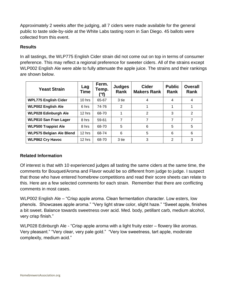Approximately 2 weeks after the judging, all 7 ciders were made available for the general public to taste side-by-side at the White Labs tasting room in San Diego. 45 ballots were collected from this event.

# **Results**

In all tastings, the WLP775 English Cider strain did not come out on top in terms of consumer preference. This may reflect a regional preference for sweeter ciders. All of the strains except WLP002 English Ale were able to fully attenuate the apple juice. The strains and their rankings are shown below.

| <b>Yeast Strain</b>             | Lag<br><b>Time</b> | Ferm.<br>Temp.<br>'°f) | <b>Judges</b><br>Rank | <b>Cider</b><br><b>Makers Rank</b> | <b>Public</b><br>Rank | <b>Overall</b><br><b>Rank</b> |
|---------------------------------|--------------------|------------------------|-----------------------|------------------------------------|-----------------------|-------------------------------|
| <b>WPL775 English Cider</b>     | $10$ hrs           | 65-67                  | 3 tie                 | 4                                  | 4                     | 4                             |
| <b>WLP002 English Ale</b>       | 6 hrs              | 74-76                  | $\overline{2}$        |                                    |                       |                               |
| <b>WLP028 Edinburgh Ale</b>     | $12$ hrs           | 68-70                  |                       | 2                                  | 3                     | 2                             |
| <b>WLP810 San Fran Lager</b>    | 8 hrs              | 59-61                  | 7                     | 7                                  | 7                     | 7                             |
| <b>WLP500 Trappist Ale</b>      | 8 hrs              | 68-70                  | 5                     | 6                                  | 5                     | 5                             |
| <b>WLP575 Belgian Ale Blend</b> | $12$ hrs           | 68-74                  | 6                     | 5                                  | 6                     | 6                             |
| <b>WLP862 Cry Havoc</b>         | $12$ hrs           | 68-70                  | 3 tie                 | 3                                  | 2                     | 3                             |

# **Related Information**

Of interest is that with 10 experienced judges all tasting the same ciders at the same time, the comments for Bouquet/Aroma and Flavor would be so different from judge to judge. I suspect that those who have entered homebrew competitions and read their score sheets can relate to this. Here are a few selected comments for each strain. Remember that there are conflicting comments in most cases.

WLP002 English Ale – "Crisp apple aroma. Clean fermentation character. Low esters, low phenols. Showcases apple aroma." "Very light straw color, slight haze." "Sweet apple, finishes a bit sweet. Balance towards sweetness over acid. Med. body, petillant carb, medium alcohol, very crisp finish."

WLP028 Edinburgh Ale - "Crisp apple aroma with a light fruity ester – flowery like aromas. Very pleasant." "Very clear, very pale gold." "Very low sweetness, tart apple, moderate complexity, medium acid."